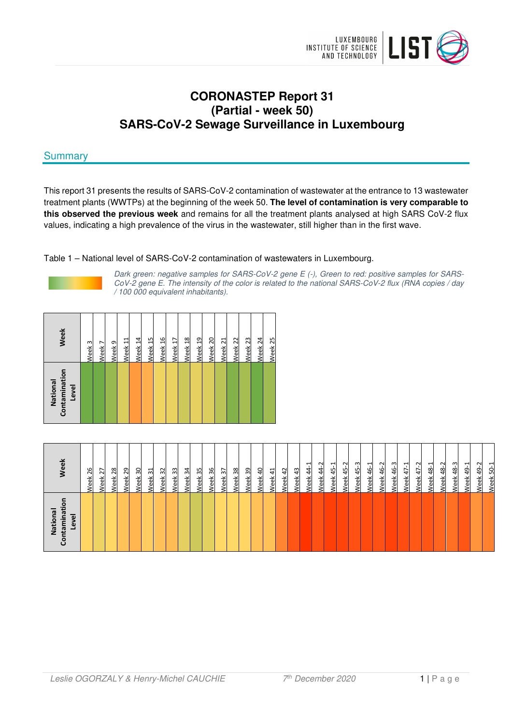

# **CORONASTEP Report 31 (Partial - week 50) SARS-CoV-2 Sewage Surveillance in Luxembourg**

# **Summary**

This report 31 presents the results of SARS-CoV-2 contamination of wastewater at the entrance to 13 wastewater treatment plants (WWTPs) at the beginning of the week 50. **The level of contamination is very comparable to this observed the previous week** and remains for all the treatment plants analysed at high SARS CoV-2 flux values, indicating a high prevalence of the virus in the wastewater, still higher than in the first wave.

Table 1 – National level of SARS-CoV-2 contamination of wastewaters in Luxembourg.



Dark green: negative samples for SARS-CoV-2 gene E (-), Green to red: positive samples for SARS-CoV-2 gene E. The intensity of the color is related to the national SARS-CoV-2 flux (RNA copies / day / 100 000 equivalent inhabitants).

| s<br>National<br>Contamina<br>Level | 'eek                                    |
|-------------------------------------|-----------------------------------------|
|                                     | 26<br>ă                                 |
|                                     | $\overline{z}$<br>꼶                     |
|                                     | 28<br>$\check{\rm e}$<br>$\pmb{\omega}$ |
|                                     | 29<br>ъ́<br>e                           |
|                                     | 30<br>eek                               |
|                                     | ಸ<br>reek                               |
|                                     | $\overline{\omega}$<br>/eek             |
|                                     | 33<br>eek                               |
|                                     | 34<br>reek                              |
|                                     | 35<br><u>leek</u>                       |
|                                     | 36<br><u>eek</u>                        |
|                                     | $\overline{\mathcal{E}}$<br>'eek        |
|                                     | 38<br>leek                              |
|                                     | 39<br>/eek                              |
|                                     | $\overline{a}$<br><u>eek</u>            |
|                                     | 긬<br><u>leek</u>                        |
|                                     | $\frac{5}{4}$<br>leek                   |
|                                     | $\frac{3}{4}$<br><u>eek</u>             |
|                                     | ᅴ<br>41<br>41<br>/eek                   |
|                                     | $\sim$<br>$\frac{4}{3}$<br>Veek         |
|                                     | ⊣<br>$\ddot{a}$<br>veek                 |
|                                     | $\sim$<br>45<br><u>eek</u>              |
|                                     | നി<br>$\frac{45}{5}$<br>/eek            |
|                                     | ᅱ<br>46<br>Veek                         |
|                                     | $\sim$<br>$\frac{6}{4}$<br><b>leek</b>  |
|                                     | က္<br>த்<br><b>Veek</b>                 |
|                                     | ⊣<br>$47-$<br>Veek                      |
|                                     | $\sim$<br>47<br>Veek                    |
|                                     | ᆗ<br>48 <sup>5</sup><br>Veek            |
|                                     | 48-2<br><b>Veek</b>                     |
|                                     | $48 - 3$<br>Veek                        |
|                                     | ᆗ<br>49-<br>Veek                        |
|                                     | Ņ.<br>$\ddot{a}$<br><b>Neek</b>         |
|                                     | ᆋ<br>$50-$<br>Week.                     |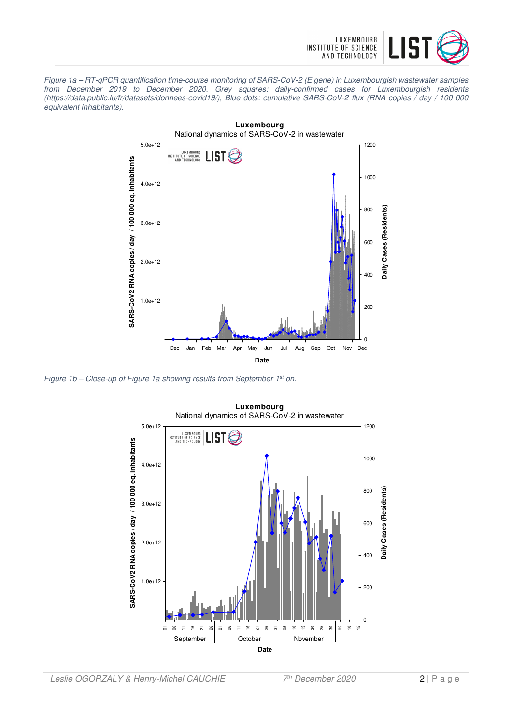

Figure 1a – RT-qPCR quantification time-course monitoring of SARS-CoV-2 (E gene) in Luxembourgish wastewater samples from December 2019 to December 2020. Grey squares: daily-confirmed cases for Luxembourgish residents (https://data.public.lu/fr/datasets/donnees-covid19/), Blue dots: cumulative SARS-CoV-2 flux (RNA copies / day / 100 000 equivalent inhabitants).



Figure 1b - Close-up of Figure 1a showing results from September 1<sup>st</sup> on.

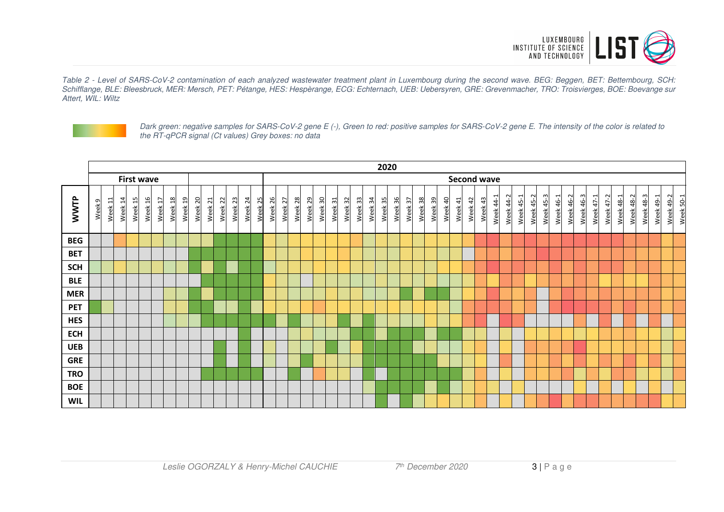

Table 2 - Level of SARS-CoV-2 contamination of each analyzed wastewater treatment plant in Luxembourg during the second wave. BEG: Beggen, BET: Bettembourg, SCH: Schifflange, BLE: Bleesbruck, MER: Mersch, PET: Pétange, HES: Hespèrange, ECG: Echternach, UEB: Uebersyren, GRE: Grevenmacher, TRO: Troisvierges, BOE: Boevange sur Attert, WIL: Wiltz



Dark green: negative samples for SARS-CoV-2 gene E (-), Green to red: positive samples for SARS-CoV-2 gene E. The intensity of the color is related to the RT-qPCR signal (Ct values) Grey boxes: no data

|            | 2020              |                    |         |         |         |         |         |         |         |                    |         |                    |         |                    |                    |                    |                    |         |         |                    |         |         |                    |                    |         |         |         |         |         |                    |            |         |           |                    |           |           |           |           |           |           |           |           |           |           |           |           |           |           |
|------------|-------------------|--------------------|---------|---------|---------|---------|---------|---------|---------|--------------------|---------|--------------------|---------|--------------------|--------------------|--------------------|--------------------|---------|---------|--------------------|---------|---------|--------------------|--------------------|---------|---------|---------|---------|---------|--------------------|------------|---------|-----------|--------------------|-----------|-----------|-----------|-----------|-----------|-----------|-----------|-----------|-----------|-----------|-----------|-----------|-----------|-----------|
|            | <b>First wave</b> |                    |         |         |         |         |         |         |         |                    |         |                    |         |                    |                    |                    |                    |         |         |                    |         |         |                    |                    |         |         |         |         |         | <b>Second wave</b> |            |         |           |                    |           |           |           |           |           |           |           |           |           |           |           |           |           |           |
| WWTP       | Week 9            | Week <sub>11</sub> | Week 14 | Week 15 | Week 16 | Week 17 | Week 18 | Week 19 | Week 20 | Week <sub>21</sub> | Week 22 | Week <sub>23</sub> | Week 24 | Week <sub>25</sub> | Week <sub>26</sub> | Week <sub>27</sub> | Week <sub>28</sub> | Week 29 | Week 30 | Week <sub>31</sub> | Week 32 | Week 33 | Week <sub>34</sub> | Week <sub>35</sub> | Week 36 | Week 37 | Week 38 | Week 39 | Week 40 | Week 41            | 42<br>Week | Week 43 | Week 44-1 | $\sim$<br>Week 44- | Week 45-1 | Week 45-2 | Week 45-3 | Week 46-1 | Week 46-2 | Week 46-3 | Week 47-1 | Week 47-2 | Week 48-1 | Week 48-2 | Week 48-3 | Week 49-1 | Week 49-2 | Week 50-1 |
| <b>BEG</b> |                   |                    |         |         |         |         |         |         |         |                    |         |                    |         |                    |                    |                    |                    |         |         |                    |         |         |                    |                    |         |         |         |         |         |                    |            |         |           |                    |           |           |           |           |           |           |           |           |           |           |           |           |           |           |
| <b>BET</b> |                   |                    |         |         |         |         |         |         |         |                    |         |                    |         |                    |                    |                    |                    |         |         |                    |         |         |                    |                    |         |         |         |         |         |                    |            |         |           |                    |           |           |           |           |           |           |           |           |           |           |           |           |           |           |
| <b>SCH</b> |                   |                    |         |         |         |         |         |         |         |                    |         |                    |         |                    |                    |                    |                    |         |         |                    |         |         |                    |                    |         |         |         |         |         |                    |            |         |           |                    |           |           |           |           |           |           |           |           |           |           |           |           |           |           |
| <b>BLE</b> |                   |                    |         |         |         |         |         |         |         |                    |         |                    |         |                    |                    |                    |                    |         |         |                    |         |         |                    |                    |         |         |         |         |         |                    |            |         |           |                    |           |           |           |           |           |           |           |           |           |           |           |           |           |           |
| <b>MER</b> |                   |                    |         |         |         |         |         |         |         |                    |         |                    |         |                    |                    |                    |                    |         |         |                    |         |         |                    |                    |         |         |         |         |         |                    |            |         |           |                    |           |           |           |           |           |           |           |           |           |           |           |           |           |           |
| <b>PET</b> |                   |                    |         |         |         |         |         |         |         |                    |         |                    |         |                    |                    |                    |                    |         |         |                    |         |         |                    |                    |         |         |         |         |         |                    |            |         |           |                    |           |           |           |           |           |           |           |           |           |           |           |           |           |           |
| <b>HES</b> |                   |                    |         |         |         |         |         |         |         |                    |         |                    |         |                    |                    |                    |                    |         |         |                    |         |         |                    |                    |         |         |         |         |         |                    |            |         |           |                    |           |           |           |           |           |           |           |           |           |           |           |           |           |           |
| <b>ECH</b> |                   |                    |         |         |         |         |         |         |         |                    |         |                    |         |                    |                    |                    |                    |         |         |                    |         |         |                    |                    |         |         |         |         |         |                    |            |         |           |                    |           |           |           |           |           |           |           |           |           |           |           |           |           |           |
| <b>UEB</b> |                   |                    |         |         |         |         |         |         |         |                    |         |                    |         |                    |                    |                    |                    |         |         |                    |         |         |                    |                    |         |         |         |         |         |                    |            |         |           |                    |           |           |           |           |           |           |           |           |           |           |           |           |           |           |
| <b>GRE</b> |                   |                    |         |         |         |         |         |         |         |                    |         |                    |         |                    |                    |                    |                    |         |         |                    |         |         |                    |                    |         |         |         |         |         |                    |            |         |           |                    |           |           |           |           |           |           |           |           |           |           |           |           |           |           |
| <b>TRO</b> |                   |                    |         |         |         |         |         |         |         |                    |         |                    |         |                    |                    |                    |                    |         |         |                    |         |         |                    |                    |         |         |         |         |         |                    |            |         |           |                    |           |           |           |           |           |           |           |           |           |           |           |           |           |           |
| <b>BOE</b> |                   |                    |         |         |         |         |         |         |         |                    |         |                    |         |                    |                    |                    |                    |         |         |                    |         |         |                    |                    |         |         |         |         |         |                    |            |         |           |                    |           |           |           |           |           |           |           |           |           |           |           |           |           |           |
| <b>WIL</b> |                   |                    |         |         |         |         |         |         |         |                    |         |                    |         |                    |                    |                    |                    |         |         |                    |         |         |                    |                    |         |         |         |         |         |                    |            |         |           |                    |           |           |           |           |           |           |           |           |           |           |           |           |           |           |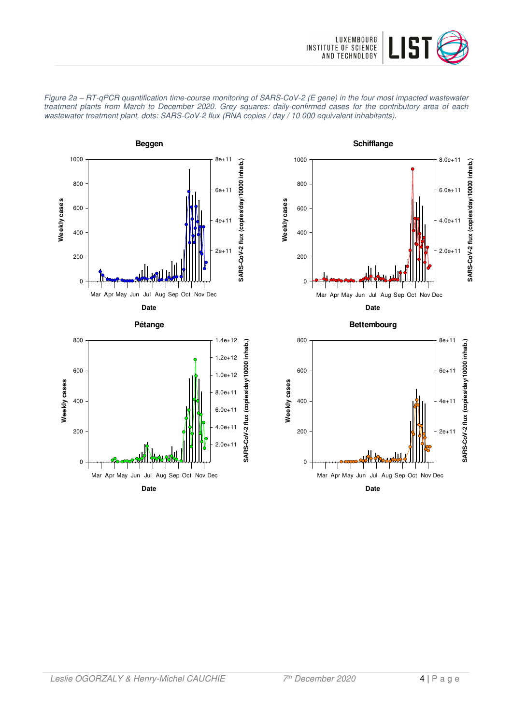









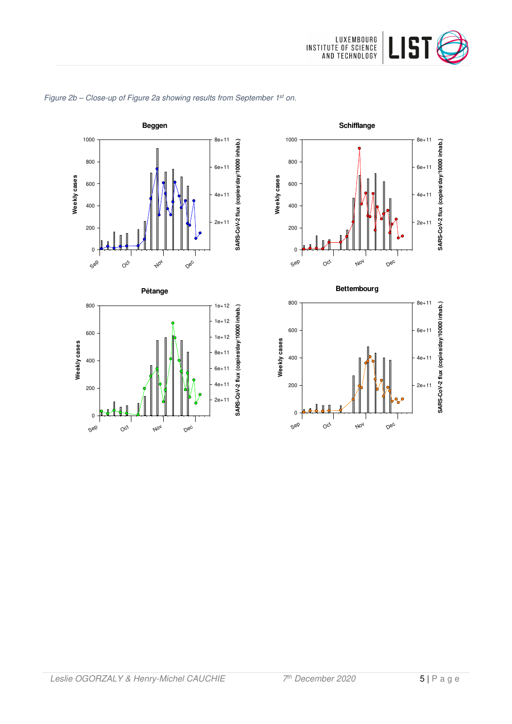

Dec

Dec

**SARS-CoV-2 flux (copies/day/10000 inhab.)**

SARS-CoV-2 flux (copies/day/10000 inhab.)

**SARS-CoV-2 flux (copies/day/10000 inhab.)**

SARS-CoV-2 flux (copies/day/10000 inhab.)

2e+11

4e+11

6e+11

8e+11

2e+11

4e+11

6e+11

8e+11



# Figure 2b - Close-up of Figure 2a showing results from September 1st on.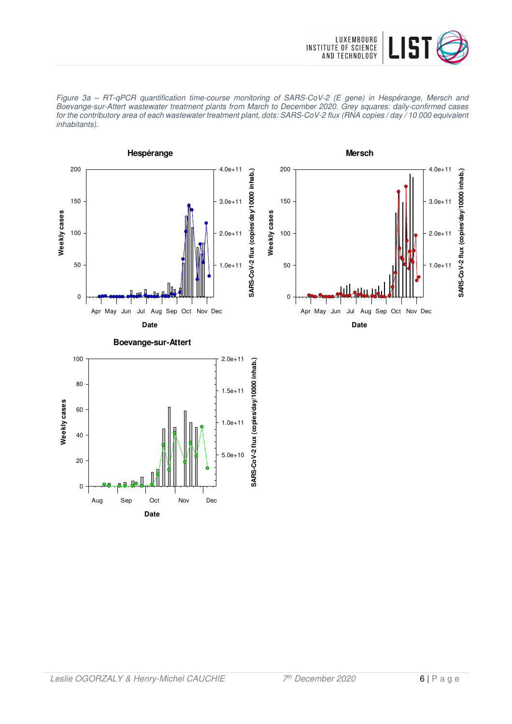





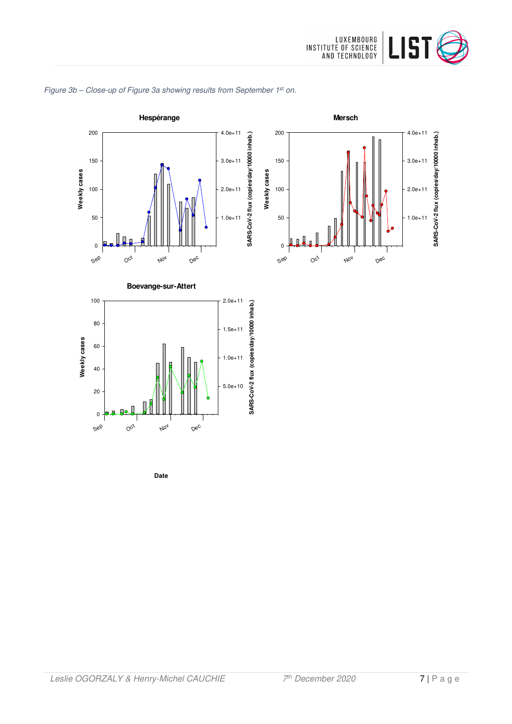





**Date**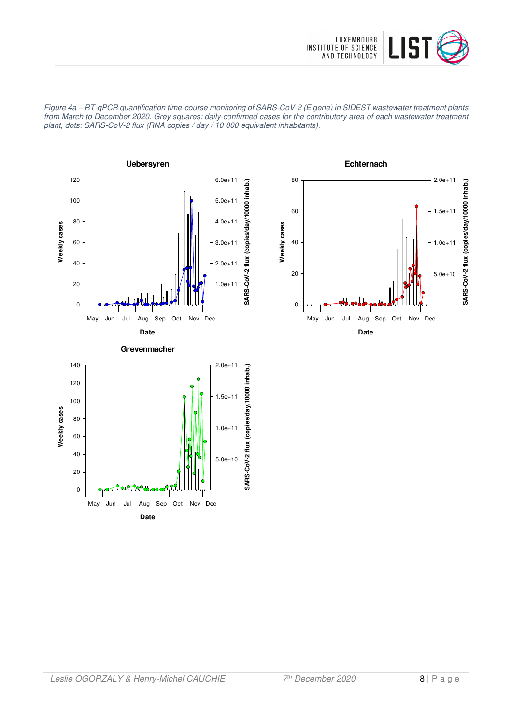

Figure 4a – RT-qPCR quantification time-course monitoring of SARS-CoV-2 (E gene) in SIDEST wastewater treatment plants from March to December 2020. Grey squares: daily-confirmed cases for the contributory area of each wastewater treatment plant, dots: SARS-CoV-2 flux (RNA copies / day / 10 000 equivalent inhabitants).





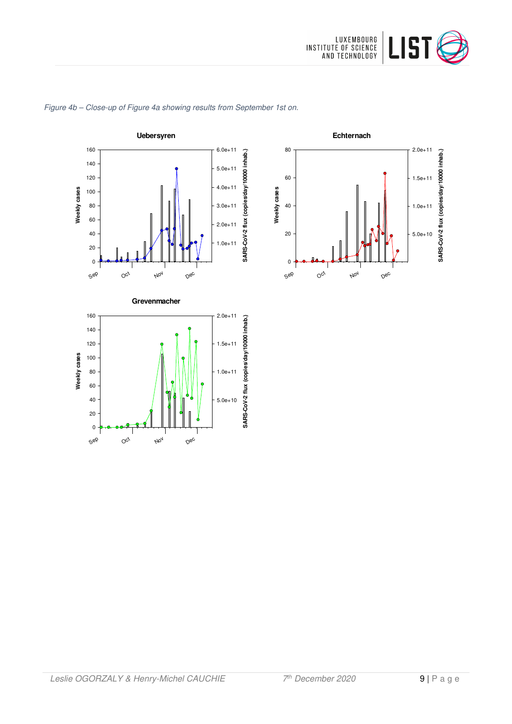

**Echternach**

Nov

Dec

**SARS-CoV-2 flux (copies/day/10000 inhab.)**

SARS-CoV-2 flux (copies/day/10000 inhab.)

5.0e+10

1.0e+11

1.5e+11

2.0e+11

Sep

0

20

40

60

80

**Weekly cases**

Weekly cases

 $O_{C_f}$ 



#### Figure 4b – Close-up of Figure 4a showing results from September 1st on.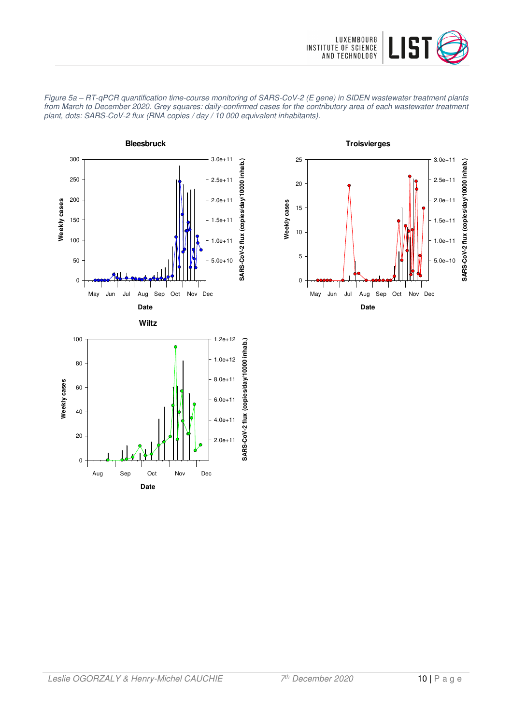



Figure 5a – RT-qPCR quantification time-course monitoring of SARS-CoV-2 (E gene) in SIDEN wastewater treatment plants from March to December 2020. Grey squares: daily-confirmed cases for the contributory area of each wastewater treatment plant, dots: SARS-CoV-2 flux (RNA copies / day / 10 000 equivalent inhabitants).

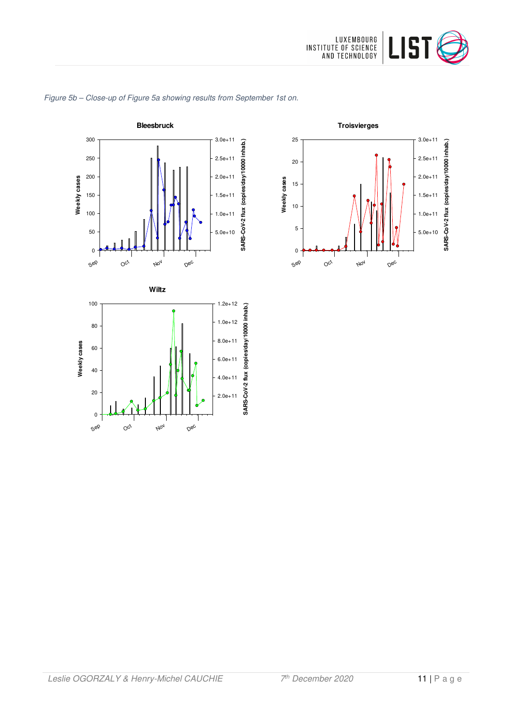



#### Figure 5b – Close-up of Figure 5a showing results from September 1st on.

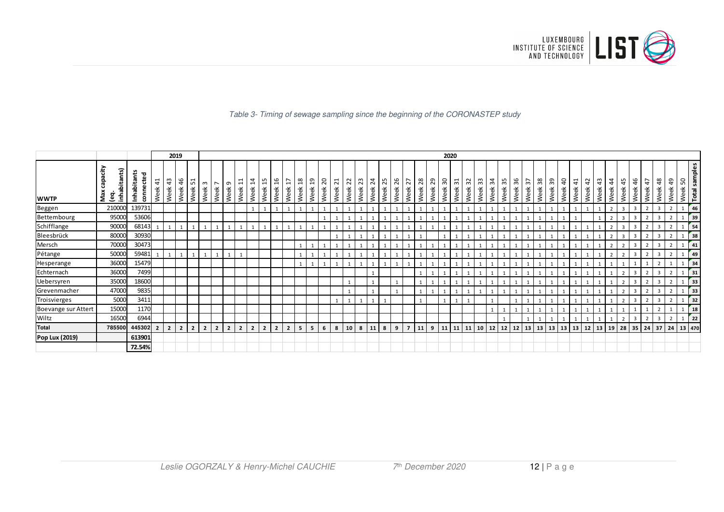

#### Table 3- Timing of sewage sampling since the beginning of the CORONASTEP study

|                     |                                    |                          |                       |                | 2019           |                                                     |                |                        |                  |                             |                        |                         |                       |                        |                       |                  |                        |                        |                        |            |                         |            |            |                |            |            | 2020      |            |            |            |            |            |            |                       |            |                           |                        |                        |            |                   |                        |                |                         |                        |                       |                |                             |
|---------------------|------------------------------------|--------------------------|-----------------------|----------------|----------------|-----------------------------------------------------|----------------|------------------------|------------------|-----------------------------|------------------------|-------------------------|-----------------------|------------------------|-----------------------|------------------|------------------------|------------------------|------------------------|------------|-------------------------|------------|------------|----------------|------------|------------|-----------|------------|------------|------------|------------|------------|------------|-----------------------|------------|---------------------------|------------------------|------------------------|------------|-------------------|------------------------|----------------|-------------------------|------------------------|-----------------------|----------------|-----------------------------|
| <b>WWTP</b>         | έ<br>inhabitants)<br>Ω<br>Max<br>ڡ | Inhabitants<br>connected | $\frac{1}{4}$<br>Week | 43<br>Week     | 46<br>Week     | $\overline{\phantom{0}}$<br>LO <sub>1</sub><br>Week | m<br>Week      | $\overline{ }$<br>Week | $\sigma$<br>Week | ᅱ<br>$\overline{ }$<br>Week | $\overline{4}$<br>Week | $\overline{15}$<br>Week | $\frac{9}{1}$<br>Week | $\overline{1}$<br>Week | $\frac{8}{1}$<br>Week | <u>၅</u><br>Week | $\overline{c}$<br>Week | $\overline{z}$<br>Week | $\overline{2}$<br>Week | 23<br>Week | $\overline{24}$<br>Week | 25<br>Week | 26<br>Week | 27<br>Week     | 28<br>Week | 29<br>Week | ဥ<br>Week | 31<br>Week | 32<br>Week | 33<br>Week | 34<br>Week | 35<br>Week | 36<br>Week | $\frac{2}{3}$<br>Week | 38<br>Week | 39<br>Week                | $\overline{a}$<br>Week | $\overline{4}$<br>Week | 42<br>Week | 43<br>Week        | $\overline{4}$<br>Week | 45<br>Week     | 46<br>Week              | $\overline{4}$<br>Week | $\frac{8}{3}$<br>Week | 49<br>Week     | Total samples<br>50<br>Week |
| Beggen              | 210000                             | 139731                   |                       |                |                |                                                     |                |                        |                  |                             | $\mathbf{1}$           | 1                       |                       |                        | $\mathbf{1}$          |                  |                        | $\mathbf{1}$           |                        |            |                         |            |            |                |            |            |           |            |            |            |            |            |            |                       |            |                           |                        |                        |            |                   |                        | $\overline{3}$ | $\overline{3}$          |                        | $\overline{3}$        |                | 46                          |
| Bettembourg         | 95000                              | 53606                    |                       |                |                |                                                     |                |                        |                  |                             |                        |                         |                       |                        |                       |                  |                        |                        |                        |            |                         |            |            |                |            |            |           |            |            |            |            |            |            |                       |            |                           |                        |                        |            |                   |                        | $\overline{3}$ | $\overline{3}$          |                        | $\overline{3}$        |                | 39                          |
| Schifflange         | 90000                              | 68143                    |                       |                |                |                                                     |                |                        |                  |                             |                        |                         |                       |                        |                       |                  |                        |                        |                        |            |                         |            |            |                |            |            |           |            |            |            |            |            |            |                       |            |                           |                        |                        |            |                   |                        |                |                         |                        | 3                     |                | 54                          |
| Bleesbrück          | 80000                              | 30930                    |                       |                |                |                                                     |                |                        |                  |                             |                        |                         |                       |                        |                       |                  |                        |                        |                        |            |                         |            |            |                |            |            |           |            |            |            |            |            |            |                       |            |                           |                        |                        |            |                   |                        | 3              | $\mathbf{3}$            |                        | 3                     |                | 38                          |
| Mersch              | 70000                              | 30473                    |                       |                |                |                                                     |                |                        |                  |                             |                        |                         |                       |                        | $\mathbf{1}$          |                  |                        |                        |                        |            |                         |            |            |                |            |            |           |            |            |            |            |            |            |                       |            |                           |                        |                        |            |                   |                        |                |                         |                        |                       |                | 41                          |
| Pétange             | 50000                              | 59481                    |                       |                | $\mathbf{1}$   |                                                     |                |                        | 1                |                             |                        |                         |                       |                        | $\mathbf{1}$          |                  |                        |                        |                        |            |                         |            |            |                |            |            |           |            |            |            |            |            |            |                       |            |                           |                        |                        |            |                   |                        |                | 3                       |                        | $\overline{3}$        |                | 49                          |
| Hesperange          | 36000                              | 15479                    |                       |                |                |                                                     |                |                        |                  |                             |                        |                         |                       |                        |                       |                  |                        |                        |                        |            |                         |            |            |                |            |            |           |            |            |            |            |            |            |                       |            |                           |                        |                        |            |                   |                        |                |                         |                        |                       |                | 34                          |
| Echternach          | 36000                              | 7499                     |                       |                |                |                                                     |                |                        |                  |                             |                        |                         |                       |                        |                       |                  |                        |                        |                        |            |                         |            |            |                |            |            |           |            |            |            |            |            |            |                       |            |                           |                        |                        |            |                   |                        |                | $\overline{3}$          |                        | 3                     |                | 31                          |
| Uebersyren          | 35000                              | 18600                    |                       |                |                |                                                     |                |                        |                  |                             |                        |                         |                       |                        |                       |                  |                        |                        |                        |            |                         |            |            |                |            |            |           |            |            |            |            |            |            |                       |            |                           |                        |                        |            |                   |                        |                | 3                       |                        | 3                     |                | 33                          |
| Grevenmacher        | 47000                              | 9835                     |                       |                |                |                                                     |                |                        |                  |                             |                        |                         |                       |                        |                       |                  |                        |                        |                        |            |                         |            |            |                |            |            |           |            |            |            |            |            |            |                       |            |                           |                        |                        |            |                   |                        |                | 3                       |                        | 3                     | $\overline{z}$ | 33                          |
| Troisvierges        | 5000                               | 3411                     |                       |                |                |                                                     |                |                        |                  |                             |                        |                         |                       |                        |                       |                  |                        | $\mathbf{1}$           | 1                      |            |                         |            |            |                |            |            |           |            |            |            |            |            |            |                       |            |                           |                        |                        |            |                   |                        | $\overline{2}$ | $\overline{3}$          |                        | $\overline{3}$        |                | 32                          |
| Boevange sur Attert | 15000                              | 1170                     |                       |                |                |                                                     |                |                        |                  |                             |                        |                         |                       |                        |                       |                  |                        |                        |                        |            |                         |            |            |                |            |            |           |            |            |            |            |            |            |                       |            |                           |                        |                        |            |                   |                        |                |                         |                        |                       |                | 18                          |
| Wiltz               | 16500                              | 6944                     |                       |                |                |                                                     |                |                        |                  |                             |                        |                         |                       |                        |                       |                  |                        |                        |                        |            |                         |            |            |                |            |            |           |            |            |            |            |            |            |                       |            |                           |                        |                        |            |                   |                        | $\overline{2}$ | $\overline{\mathbf{3}}$ | $\overline{2}$         | 3                     | $\overline{2}$ | $\overline{22}$             |
| <b>Total</b>        | 785500                             | 445302                   | $\overline{2}$        | $\overline{2}$ | $\overline{2}$ | $\overline{2}$                                      | $\overline{2}$ | $\overline{2}$         | $\overline{2}$   | $\overline{2}$              | $\overline{2}$         | $\overline{2}$          | $\overline{2}$        | $\overline{2}$         | 5 <sup>5</sup>        | 5 <sup>1</sup>   | 6                      | 8                      | 10                     | 8          | 11                      | 8          | 9          | $\overline{7}$ | 11         | 9          | 11        | 11         | 11         | $10$   12  |            | $12$ 12 13 |            |                       |            | $13 \mid 13 \mid 13 \mid$ |                        |                        |            | 13   12   13   19 |                        | 28             | $35$ 24                 |                        | 37                    | 24             | 13 470                      |
| Pop Lux (2019)      |                                    | 613901                   |                       |                |                |                                                     |                |                        |                  |                             |                        |                         |                       |                        |                       |                  |                        |                        |                        |            |                         |            |            |                |            |            |           |            |            |            |            |            |            |                       |            |                           |                        |                        |            |                   |                        |                |                         |                        |                       |                |                             |
|                     |                                    | 72.54%                   |                       |                |                |                                                     |                |                        |                  |                             |                        |                         |                       |                        |                       |                  |                        |                        |                        |            |                         |            |            |                |            |            |           |            |            |            |            |            |            |                       |            |                           |                        |                        |            |                   |                        |                |                         |                        |                       |                |                             |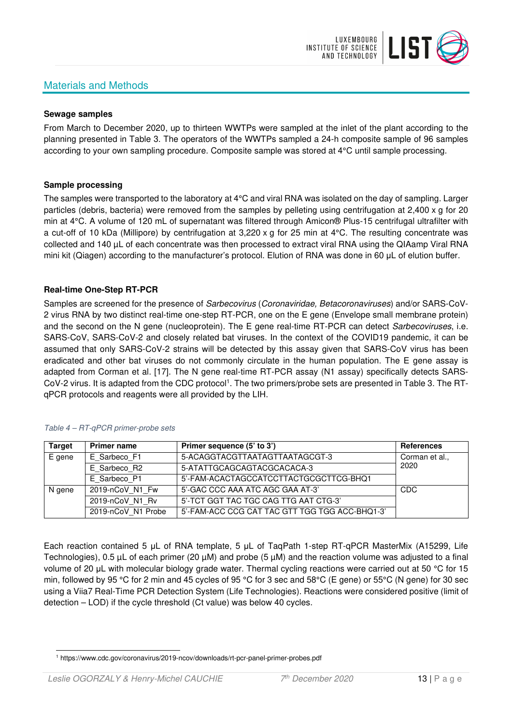# Materials and Methods



#### **Sewage samples**

From March to December 2020, up to thirteen WWTPs were sampled at the inlet of the plant according to the planning presented in Table 3. The operators of the WWTPs sampled a 24-h composite sample of 96 samples according to your own sampling procedure. Composite sample was stored at 4°C until sample processing.

#### **Sample processing**

The samples were transported to the laboratory at 4°C and viral RNA was isolated on the day of sampling. Larger particles (debris, bacteria) were removed from the samples by pelleting using centrifugation at 2,400 x g for 20 min at 4°C. A volume of 120 mL of supernatant was filtered through Amicon® Plus-15 centrifugal ultrafilter with a cut-off of 10 kDa (Millipore) by centrifugation at 3,220 x g for 25 min at 4°C. The resulting concentrate was collected and 140 µL of each concentrate was then processed to extract viral RNA using the QIAamp Viral RNA mini kit (Qiagen) according to the manufacturer's protocol. Elution of RNA was done in 60 μL of elution buffer.

#### **Real-time One-Step RT-PCR**

Samples are screened for the presence of *Sarbecovirus (Coronaviridae, Betacoronaviruses*) and/or SARS-CoV-2 virus RNA by two distinct real-time one-step RT-PCR, one on the E gene (Envelope small membrane protein) and the second on the N gene (nucleoprotein). The E gene real-time RT-PCR can detect Sarbecoviruses, i.e. SARS-CoV, SARS-CoV-2 and closely related bat viruses. In the context of the COVID19 pandemic, it can be assumed that only SARS-CoV-2 strains will be detected by this assay given that SARS-CoV virus has been eradicated and other bat viruses do not commonly circulate in the human population. The E gene assay is adapted from Corman et al. [17]. The N gene real-time RT-PCR assay (N1 assay) specifically detects SARS-CoV-2 virus. It is adapted from the CDC protocol<sup>1</sup>. The two primers/probe sets are presented in Table 3. The RTqPCR protocols and reagents were all provided by the LIH.

| <b>Target</b> | <b>Primer name</b> | Primer sequence (5' to 3')                     | <b>References</b> |
|---------------|--------------------|------------------------------------------------|-------------------|
| E gene        | E Sarbeco F1       | 5-ACAGGTACGTTAATAGTTAATAGCGT-3                 | Corman et al.,    |
|               | E Sarbeco R2       | 5-ATATTGCAGCAGTACGCACACA-3                     | 2020              |
|               | E Sarbeco P1       | 5'-FAM-ACACTAGCCATCCTTACTGCGCTTCG-BHQ1         |                   |
| N gene        | 2019-nCoV N1 Fw    | 5'-GAC CCC AAA ATC AGC GAA AT-3'               | CDC               |
|               | 2019-nCoV N1 Rv    | 5'-TCT GGT TAC TGC CAG TTG AAT CTG-3'          |                   |
|               | 2019-nCoV N1 Probe | 5'-FAM-ACC CCG CAT TAC GTT TGG TGG ACC-BHQ1-3' |                   |

#### Table 4 – RT-qPCR primer-probe sets

Each reaction contained 5 μL of RNA template, 5 μL of TaqPath 1-step RT-qPCR MasterMix (A15299, Life Technologies), 0.5 µL of each primer (20 µM) and probe (5 µM) and the reaction volume was adjusted to a final volume of 20 μL with molecular biology grade water. Thermal cycling reactions were carried out at 50 °C for 15 min, followed by 95 °C for 2 min and 45 cycles of 95 °C for 3 sec and 58°C (E gene) or 55°C (N gene) for 30 sec using a Viia7 Real-Time PCR Detection System (Life Technologies). Reactions were considered positive (limit of detection – LOD) if the cycle threshold (Ct value) was below 40 cycles.

<sup>1</sup> https://www.cdc.gov/coronavirus/2019-ncov/downloads/rt-pcr-panel-primer-probes.pdf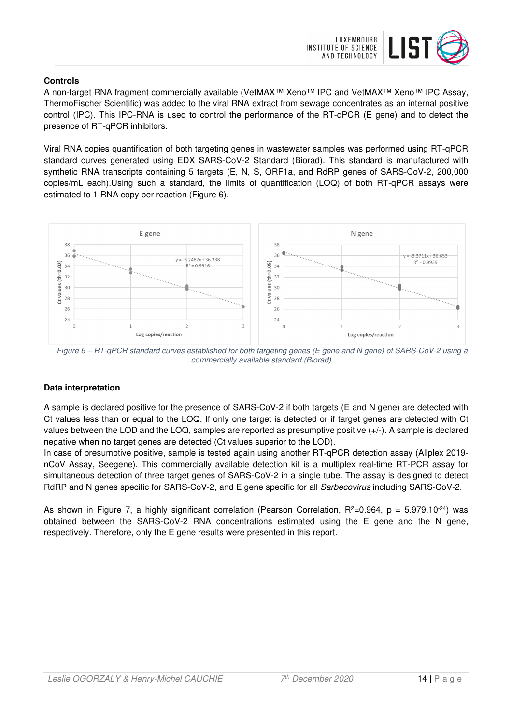

### **Controls**

A non-target RNA fragment commercially available (VetMAX™ Xeno™ IPC and VetMAX™ Xeno™ IPC Assay, ThermoFischer Scientific) was added to the viral RNA extract from sewage concentrates as an internal positive control (IPC). This IPC-RNA is used to control the performance of the RT-qPCR (E gene) and to detect the presence of RT-qPCR inhibitors.

Viral RNA copies quantification of both targeting genes in wastewater samples was performed using RT-qPCR standard curves generated using EDX SARS-CoV-2 Standard (Biorad). This standard is manufactured with synthetic RNA transcripts containing 5 targets (E, N, S, ORF1a, and RdRP genes of SARS-CoV-2, 200,000 copies/mL each).Using such a standard, the limits of quantification (LOQ) of both RT-qPCR assays were estimated to 1 RNA copy per reaction (Figure 6).



Figure 6 – RT-qPCR standard curves established for both targeting genes (E gene and N gene) of SARS-CoV-2 using a commercially available standard (Biorad).

## **Data interpretation**

A sample is declared positive for the presence of SARS-CoV-2 if both targets (E and N gene) are detected with Ct values less than or equal to the LOQ. If only one target is detected or if target genes are detected with Ct values between the LOD and the LOQ, samples are reported as presumptive positive (+/-). A sample is declared negative when no target genes are detected (Ct values superior to the LOD).

In case of presumptive positive, sample is tested again using another RT-qPCR detection assay (Allplex 2019 nCoV Assay, Seegene). This commercially available detection kit is a multiplex real-time RT-PCR assay for simultaneous detection of three target genes of SARS-CoV-2 in a single tube. The assay is designed to detect RdRP and N genes specific for SARS-CoV-2, and E gene specific for all Sarbecovirus including SARS-CoV-2.

As shown in Figure 7, a highly significant correlation (Pearson Correlation,  $R^2=0.964$ ,  $p = 5.979.10^{-24}$ ) was obtained between the SARS-CoV-2 RNA concentrations estimated using the E gene and the N gene, respectively. Therefore, only the E gene results were presented in this report.